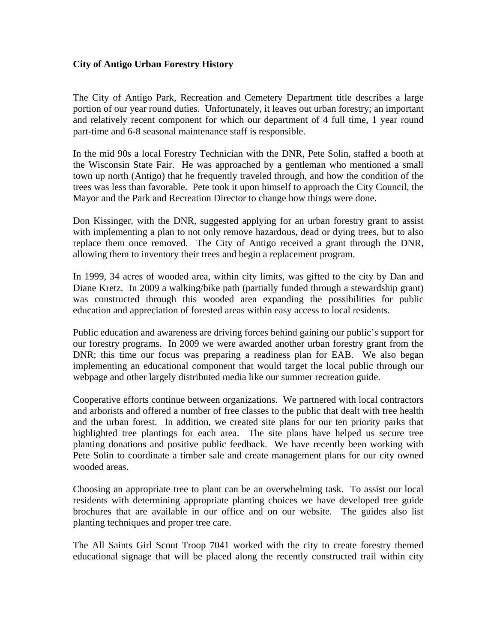## **City of Antigo Urban Forestry History**

The City of Antigo Park, Recreation and Cemetery Department title describes a large portion of our year round duties. Unfortunately, it leaves out urban forestry; an important and relatively recent component for which our department of 4 full time, 1 year round part-time and 6-8 seasonal maintenance staff is responsible.

In the mid 90s a local Forestry Technician with the DNR, Pete Solin, staffed a booth at the Wisconsin State Fair. He was approached by a gentleman who mentioned a small town up north (Antigo) that he frequently traveled through, and how the condition of the trees was less than favorable. Pete took it upon himself to approach the City Council, the Mayor and the Park and Recreation Director to change how things were done.

Don Kissinger, with the DNR, suggested applying for an urban forestry grant to assist with implementing a plan to not only remove hazardous, dead or dying trees, but to also replace them once removed. The City of Antigo received a grant through the DNR, allowing them to inventory their trees and begin a replacement program.

In 1999, 34 acres of wooded area, within city limits, was gifted to the city by Dan and Diane Kretz. In 2009 a walking/bike path (partially funded through a stewardship grant) was constructed through this wooded area expanding the possibilities for public education and appreciation of forested areas within easy access to local residents.

Public education and awareness are driving forces behind gaining our public's support for our forestry programs. In 2009 we were awarded another urban forestry grant from the DNR; this time our focus was preparing a readiness plan for EAB. We also began implementing an educational component that would target the local public through our webpage and other largely distributed media like our summer recreation guide.

Cooperative efforts continue between organizations. We partnered with local contractors and arborists and offered a number of free classes to the public that dealt with tree health and the urban forest. In addition, we created site plans for our ten priority parks that highlighted tree plantings for each area. The site plans have helped us secure tree planting donations and positive public feedback. We have recently been working with Pete Solin to coordinate a timber sale and create management plans for our city owned wooded areas.

Choosing an appropriate tree to plant can be an overwhelming task. To assist our local residents with determining appropriate planting choices we have developed tree guide brochures that are available in our office and on our website. The guides also list planting techniques and proper tree care.

The All Saints Girl Scout Troop 7041 worked with the city to create forestry themed educational signage that will be placed along the recently constructed trail within city